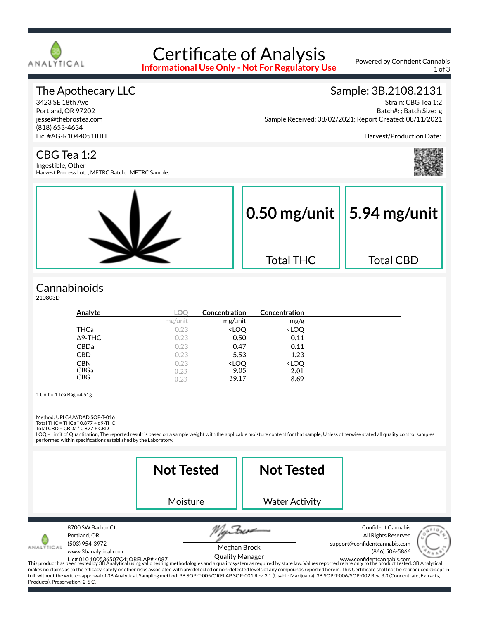

# Certificate of Analysis

**Informational Use Only - Not For Regulatory Use**

Powered by Confident Cannabis 1 of 3

#### The Apothecary LLC

3423 SE 18th Ave Portland, OR 97202 jesse@thebrostea.com (818) 653-4634 Lic. #AG-R1044051IHH

#### Sample: 3B.2108.2131

Strain: CBG Tea 1:2 Batch#: ; Batch Size: g Sample Received: 08/02/2021; Report Created: 08/11/2021

Harvest/Production Date:

CBG Tea 1:2

Ingestible, Other Harvest Process Lot: ; METRC Batch: ; METRC Sample:



#### **Cannabinoids**

210803D

| Analyte        | LOC     | Concentration                                            | <b>Concentration</b>         |  |
|----------------|---------|----------------------------------------------------------|------------------------------|--|
|                | mg/unit | mg/unit                                                  | mg/g                         |  |
| THCa           | 0.23    | <loq< th=""><th><loq< th=""><th></th></loq<></th></loq<> | <loq< th=""><th></th></loq<> |  |
| $\Delta$ 9-THC | 0.23    | 0.50                                                     | 0.11                         |  |
| CBDa           | 0.23    | 0.47                                                     | 0.11                         |  |
| <b>CBD</b>     | 0.23    | 5.53                                                     | 1.23                         |  |
| <b>CBN</b>     | 0.23    | <loq< th=""><th><loq< th=""><th></th></loq<></th></loq<> | <loq< th=""><th></th></loq<> |  |
| CBGa           | 0.23    | 9.05                                                     | 2.01                         |  |
| CBG            | 0.23    | 39.17                                                    | 8.69                         |  |

1 Unit = 1 Tea Bag =4.51g

Method: UPLC-UV/DAD SOP-T-016

Total THC = THCa \* 0.877 + d9-THC Total CBD = CBDa \* 0.877 + CBD

LOQ = Limit of Quantitation; The reported result is based on a sample weight with the applicable moisture content for that sample; Unless otherwise stated all quality control samples performed within specifications established by the Laboratory.

|                                               |                                                                              | <b>Not Tested</b>                                                                                                                                                                    | <b>Not Tested</b>                      |                                                                                                                                                                                                                                                                                                                                                                                                                                                                                                                                                |
|-----------------------------------------------|------------------------------------------------------------------------------|--------------------------------------------------------------------------------------------------------------------------------------------------------------------------------------|----------------------------------------|------------------------------------------------------------------------------------------------------------------------------------------------------------------------------------------------------------------------------------------------------------------------------------------------------------------------------------------------------------------------------------------------------------------------------------------------------------------------------------------------------------------------------------------------|
|                                               |                                                                              | Moisture                                                                                                                                                                             | <b>Water Activity</b>                  |                                                                                                                                                                                                                                                                                                                                                                                                                                                                                                                                                |
| ANALÝTICAL<br>Products). Preservation: 2-6 C. | 8700 SW Barbur Ct.<br>Portland, OR<br>(503) 954-3972<br>www.3banalytical.com | full, without the written approval of 3B Analytical. Sampling method: 3B SOP-T-005/ORELAP SOP-001 Rev. 3.1 (Usable Marijuana), 3B SOP-T-006/SOP-002 Rev. 3.3 (Concentrate, Extracts, | Meghan Brock<br><b>Quality Manager</b> | <b>Confident Cannabis</b><br>All Rights Reserved<br>support@confidentcannabis.com<br>(866) 506-5866<br>Lic# 010 100536507C4; ORELAP# 4087<br>This product has been tested by 3B Analytical using valid testing methodologies and a quality system as required by state law. Values reported relate only to the product tested. 3B Analyt<br>makes no claims as to the efficacy, safety or other risks associated with any detected or non-detected levels of any compounds reported herein. This Certificate shall not be reproduced except in |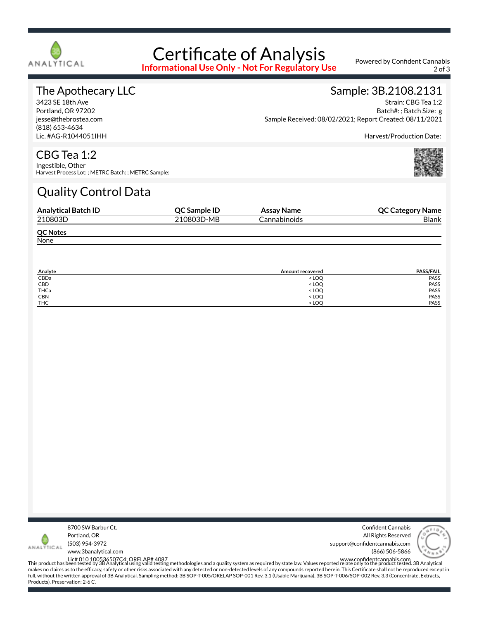

## Certificate of Analysis

**Informational Use Only - Not For Regulatory Use**

Powered by Confident Cannabis 2 of 3

#### The Apothecary LLC

3423 SE 18th Ave Portland, OR 97202 jesse@thebrostea.com (818) 653-4634 Lic. #AG-R1044051IHH

#### Sample: 3B.2108.2131 Strain: CBG Tea 1:2

Batch#: ; Batch Size: g Sample Received: 08/02/2021; Report Created: 08/11/2021

Harvest/Production Date:

#### CBG Tea 1:2

Ingestible, Other Harvest Process Lot: ; METRC Batch: ; METRC Sample:

### Quality Control Data

| <b>Analytical Batch ID</b> | <b>OC Sample ID</b> | Assay Name   | <b>QC Category Name</b> |
|----------------------------|---------------------|--------------|-------------------------|
| 210803D                    | 210803D-MB          | Cannabinoids | <b>Blank</b>            |
| <b>QC Notes</b>            |                     |              |                         |
| None                       |                     |              |                         |

| Analyte    | Amount recovered                 | <b>PASS/FAIL</b> |
|------------|----------------------------------|------------------|
| CBDa       | < LOO                            | PASS             |
| CBD        | <b>LOQ</b>                       | PASS             |
| THCa       | < LOQ                            | PASS             |
| <b>CBN</b> | < LOQ                            | PASS             |
| <b>THC</b> | <loo< td=""><td>PASS</td></loo<> | PASS             |



Confident Cannabis All Rights Reserved support@confidentcannabis.com (866) 506-5866



www.3banalytical.com

Lic# 010 100536507C4; ORELAP# 4087<br>This product has been tested by 3B Analytical using valid testing methodologies and a quality system as required by state law. Values reported relate only to the product tested. 3B Analyt makes no claims as to the efficacy, safety or other risks associated with any detected or non-detected levels of any compounds reported herein. This Certificate shall not be reproduced except in full, without the written approval of 3B Analytical. Sampling method: 3B SOP-T-005/ORELAP SOP-001 Rev. 3.1 (Usable Marijuana), 3B SOP-T-006/SOP-002 Rev. 3.3 (Concentrate, Extracts, Products). Preservation: 2-6 C.